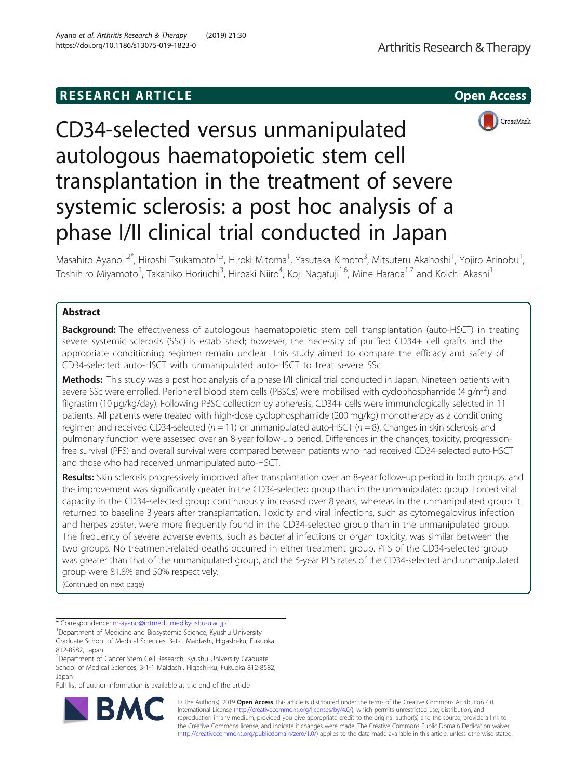# **RESEARCH ARTICLE Example 20 and 20 and 20 and 20 and 20 and 20 and 20 and 20 and 20 and 20 and 20 and 20 and 20 and 20 and 20 and 20 and 20 and 20 and 20 and 20 and 20 and 20 and 20 and 20 and 20 and 20 and 20 and 20 an**



# CD34-selected versus unmanipulated autologous haematopoietic stem cell transplantation in the treatment of severe systemic sclerosis: a post hoc analysis of a phase I/II clinical trial conducted in Japan

Masahiro Ayano<sup>1,2\*</sup>, Hiroshi Tsukamoto<sup>1,5</sup>, Hiroki Mitoma<sup>1</sup>, Yasutaka Kimoto<sup>3</sup>, Mitsuteru Akahoshi<sup>1</sup>, Yojiro Arinobu<sup>1</sup> , Toshihiro Miyamoto<sup>1</sup>, Takahiko Horiuchi<sup>3</sup>, Hiroaki Niiro<sup>4</sup>, Koji Nagafuji<sup>1,6</sup>, Mine Harada<sup>1,7</sup> and Koichi Akashi<sup>1</sup>

# Abstract

**Background:** The effectiveness of autologous haematopoietic stem cell transplantation (auto-HSCT) in treating severe systemic sclerosis (SSc) is established; however, the necessity of purified CD34+ cell grafts and the appropriate conditioning regimen remain unclear. This study aimed to compare the efficacy and safety of CD34-selected auto-HSCT with unmanipulated auto-HSCT to treat severe SSc.

Methods: This study was a post hoc analysis of a phase I/II clinical trial conducted in Japan. Nineteen patients with severe SSc were enrolled. Peripheral blood stem cells (PBSCs) were mobilised with cyclophosphamide (4 g/m<sup>2</sup>) and filgrastim (10 μg/kg/day). Following PBSC collection by apheresis, CD34+ cells were immunologically selected in 11 patients. All patients were treated with high-dose cyclophosphamide (200 mg/kg) monotherapy as a conditioning regimen and received CD34-selected ( $n = 11$ ) or unmanipulated auto-HSCT ( $n = 8$ ). Changes in skin sclerosis and pulmonary function were assessed over an 8-year follow-up period. Differences in the changes, toxicity, progressionfree survival (PFS) and overall survival were compared between patients who had received CD34-selected auto-HSCT and those who had received unmanipulated auto-HSCT.

Results: Skin sclerosis progressively improved after transplantation over an 8-year follow-up period in both groups, and the improvement was significantly greater in the CD34-selected group than in the unmanipulated group. Forced vital capacity in the CD34-selected group continuously increased over 8 years, whereas in the unmanipulated group it returned to baseline 3 years after transplantation. Toxicity and viral infections, such as cytomegalovirus infection and herpes zoster, were more frequently found in the CD34-selected group than in the unmanipulated group. The frequency of severe adverse events, such as bacterial infections or organ toxicity, was similar between the two groups. No treatment-related deaths occurred in either treatment group. PFS of the CD34-selected group was greater than that of the unmanipulated group, and the 5-year PFS rates of the CD34-selected and unmanipulated group were 81.8% and 50% respectively.

(Continued on next page)

\* Correspondence: [m-ayano@intmed1.med.kyushu-u.ac.jp](mailto:m-ayano@intmed1.med.kyushu-u.ac.jp) <sup>1</sup>

Full list of author information is available at the end of the article



© The Author(s). 2019 **Open Access** This article is distributed under the terms of the Creative Commons Attribution 4.0 International License [\(http://creativecommons.org/licenses/by/4.0/](http://creativecommons.org/licenses/by/4.0/)), which permits unrestricted use, distribution, and reproduction in any medium, provided you give appropriate credit to the original author(s) and the source, provide a link to the Creative Commons license, and indicate if changes were made. The Creative Commons Public Domain Dedication waiver [\(http://creativecommons.org/publicdomain/zero/1.0/](http://creativecommons.org/publicdomain/zero/1.0/)) applies to the data made available in this article, unless otherwise stated.

<sup>&</sup>lt;sup>1</sup>Department of Medicine and Biosystemic Science, Kyushu University Graduate School of Medical Sciences, 3-1-1 Maidashi, Higashi-ku, Fukuoka 812-8582, Japan

<sup>&</sup>lt;sup>2</sup> Department of Cancer Stem Cell Research, Kyushu University Graduate School of Medical Sciences, 3-1-1 Maidashi, Higashi-ku, Fukuoka 812-8582, Japan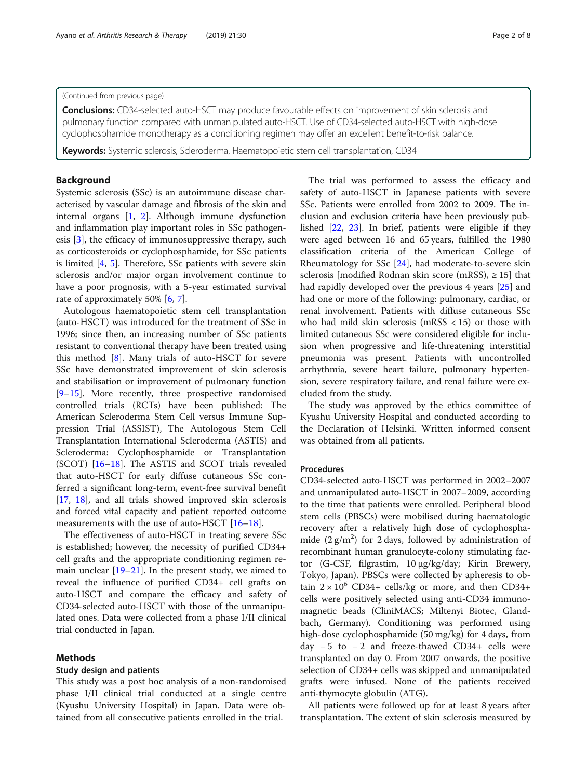#### (Continued from previous page)

**Conclusions:** CD34-selected auto-HSCT may produce favourable effects on improvement of skin sclerosis and pulmonary function compared with unmanipulated auto-HSCT. Use of CD34-selected auto-HSCT with high-dose cyclophosphamide monotherapy as a conditioning regimen may offer an excellent benefit-to-risk balance.

Keywords: Systemic sclerosis, Scleroderma, Haematopoietic stem cell transplantation, CD34

### Background

Systemic sclerosis (SSc) is an autoimmune disease characterised by vascular damage and fibrosis of the skin and internal organs [\[1,](#page-7-0) [2\]](#page-7-0). Although immune dysfunction and inflammation play important roles in SSc pathogenesis [\[3](#page-7-0)], the efficacy of immunosuppressive therapy, such as corticosteroids or cyclophosphamide, for SSc patients is limited [\[4](#page-7-0), [5\]](#page-7-0). Therefore, SSc patients with severe skin sclerosis and/or major organ involvement continue to have a poor prognosis, with a 5-year estimated survival rate of approximately 50% [[6,](#page-7-0) [7\]](#page-7-0).

Autologous haematopoietic stem cell transplantation (auto-HSCT) was introduced for the treatment of SSc in 1996; since then, an increasing number of SSc patients resistant to conventional therapy have been treated using this method  $[8]$  $[8]$ . Many trials of auto-HSCT for severe SSc have demonstrated improvement of skin sclerosis and stabilisation or improvement of pulmonary function [[9](#page-7-0)–[15\]](#page-7-0). More recently, three prospective randomised controlled trials (RCTs) have been published: The American Scleroderma Stem Cell versus Immune Suppression Trial (ASSIST), The Autologous Stem Cell Transplantation International Scleroderma (ASTIS) and Scleroderma: Cyclophosphamide or Transplantation (SCOT) [\[16](#page-7-0)–[18\]](#page-7-0). The ASTIS and SCOT trials revealed that auto-HSCT for early diffuse cutaneous SSc conferred a significant long-term, event-free survival benefit [[17,](#page-7-0) [18](#page-7-0)], and all trials showed improved skin sclerosis and forced vital capacity and patient reported outcome measurements with the use of auto-HSCT [[16](#page-7-0)–[18](#page-7-0)].

The effectiveness of auto-HSCT in treating severe SSc is established; however, the necessity of purified CD34+ cell grafts and the appropriate conditioning regimen remain unclear [\[19](#page-7-0)–[21\]](#page-7-0). In the present study, we aimed to reveal the influence of purified CD34+ cell grafts on auto-HSCT and compare the efficacy and safety of CD34-selected auto-HSCT with those of the unmanipulated ones. Data were collected from a phase I/II clinical trial conducted in Japan.

#### Methods

#### Study design and patients

This study was a post hoc analysis of a non-randomised phase I/II clinical trial conducted at a single centre (Kyushu University Hospital) in Japan. Data were obtained from all consecutive patients enrolled in the trial.

The trial was performed to assess the efficacy and safety of auto-HSCT in Japanese patients with severe SSc. Patients were enrolled from 2002 to 2009. The inclusion and exclusion criteria have been previously published [[22,](#page-7-0) [23\]](#page-7-0). In brief, patients were eligible if they were aged between 16 and 65 years, fulfilled the 1980 classification criteria of the American College of Rheumatology for SSc [[24](#page-7-0)], had moderate-to-severe skin sclerosis [modified Rodnan skin score (mRSS),  $\geq 15$ ] that had rapidly developed over the previous 4 years [\[25](#page-7-0)] and had one or more of the following: pulmonary, cardiac, or renal involvement. Patients with diffuse cutaneous SSc who had mild skin sclerosis (mRSS  $<$  15) or those with limited cutaneous SSc were considered eligible for inclusion when progressive and life-threatening interstitial pneumonia was present. Patients with uncontrolled arrhythmia, severe heart failure, pulmonary hypertension, severe respiratory failure, and renal failure were excluded from the study.

The study was approved by the ethics committee of Kyushu University Hospital and conducted according to the Declaration of Helsinki. Written informed consent was obtained from all patients.

#### Procedures

CD34-selected auto-HSCT was performed in 2002–2007 and unmanipulated auto-HSCT in 2007–2009, according to the time that patients were enrolled. Peripheral blood stem cells (PBSCs) were mobilised during haematologic recovery after a relatively high dose of cyclophosphamide  $(2 g/m^2)$  for 2 days, followed by administration of recombinant human granulocyte-colony stimulating factor (G-CSF, filgrastim, 10 μg/kg/day; Kirin Brewery, Tokyo, Japan). PBSCs were collected by apheresis to obtain  $2 \times 10^6$  CD34+ cells/kg or more, and then CD34+ cells were positively selected using anti-CD34 immunomagnetic beads (CliniMACS; Miltenyi Biotec, Glandbach, Germany). Conditioning was performed using high-dose cyclophosphamide (50 mg/kg) for 4 days, from day − 5 to − 2 and freeze-thawed CD34+ cells were transplanted on day 0. From 2007 onwards, the positive selection of CD34+ cells was skipped and unmanipulated grafts were infused. None of the patients received anti-thymocyte globulin (ATG).

All patients were followed up for at least 8 years after transplantation. The extent of skin sclerosis measured by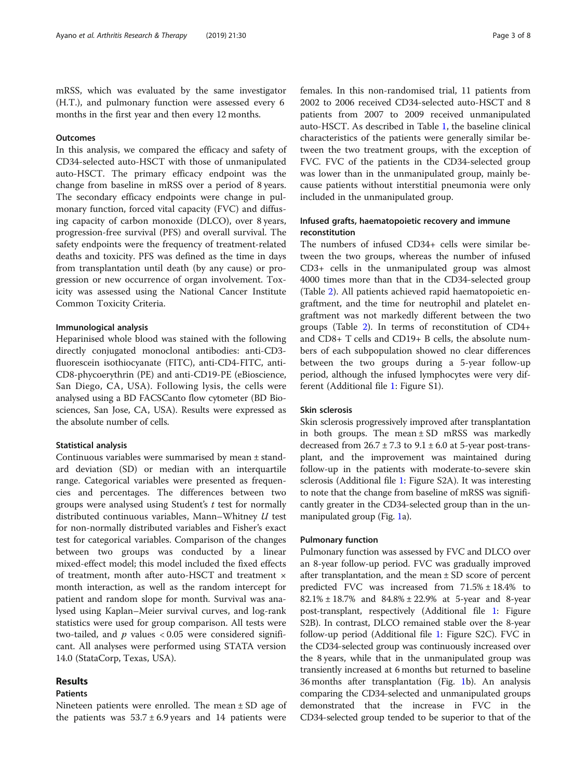mRSS, which was evaluated by the same investigator (H.T.), and pulmonary function were assessed every 6 months in the first year and then every 12 months.

# **Outcomes**

In this analysis, we compared the efficacy and safety of CD34-selected auto-HSCT with those of unmanipulated auto-HSCT. The primary efficacy endpoint was the change from baseline in mRSS over a period of 8 years. The secondary efficacy endpoints were change in pulmonary function, forced vital capacity (FVC) and diffusing capacity of carbon monoxide (DLCO), over 8 years, progression-free survival (PFS) and overall survival. The safety endpoints were the frequency of treatment-related deaths and toxicity. PFS was defined as the time in days from transplantation until death (by any cause) or progression or new occurrence of organ involvement. Toxicity was assessed using the National Cancer Institute Common Toxicity Criteria.

#### Immunological analysis

Heparinised whole blood was stained with the following directly conjugated monoclonal antibodies: anti-CD3 fluorescein isothiocyanate (FITC), anti-CD4-FITC, anti-CD8-phycoerythrin (PE) and anti-CD19-PE (eBioscience, San Diego, CA, USA). Following lysis, the cells were analysed using a BD FACSCanto flow cytometer (BD Biosciences, San Jose, CA, USA). Results were expressed as the absolute number of cells.

#### Statistical analysis

Continuous variables were summarised by mean ± standard deviation (SD) or median with an interquartile range. Categorical variables were presented as frequencies and percentages. The differences between two groups were analysed using Student's  $t$  test for normally distributed continuous variables, Mann–Whitney U test for non-normally distributed variables and Fisher's exact test for categorical variables. Comparison of the changes between two groups was conducted by a linear mixed-effect model; this model included the fixed effects of treatment, month after auto-HSCT and treatment × month interaction, as well as the random intercept for patient and random slope for month. Survival was analysed using Kaplan–Meier survival curves, and log-rank statistics were used for group comparison. All tests were two-tailed, and  $p$  values < 0.05 were considered significant. All analyses were performed using STATA version 14.0 (StataCorp, Texas, USA).

# Results

# Patients

females. In this non-randomised trial, 11 patients from 2002 to 2006 received CD34-selected auto-HSCT and 8 patients from 2007 to 2009 received unmanipulated auto-HSCT. As described in Table [1](#page-3-0), the baseline clinical characteristics of the patients were generally similar between the two treatment groups, with the exception of FVC. FVC of the patients in the CD34-selected group was lower than in the unmanipulated group, mainly because patients without interstitial pneumonia were only included in the unmanipulated group.

# Infused grafts, haematopoietic recovery and immune reconstitution

The numbers of infused CD34+ cells were similar between the two groups, whereas the number of infused CD3+ cells in the unmanipulated group was almost 4000 times more than that in the CD34-selected group (Table [2](#page-3-0)). All patients achieved rapid haematopoietic engraftment, and the time for neutrophil and platelet engraftment was not markedly different between the two groups (Table [2\)](#page-3-0). In terms of reconstitution of CD4+ and CD8+ T cells and CD19+ B cells, the absolute numbers of each subpopulation showed no clear differences between the two groups during a 5-year follow-up period, although the infused lymphocytes were very different (Additional file [1](#page-6-0): Figure S1).

#### Skin sclerosis

Skin sclerosis progressively improved after transplantation in both groups. The mean  $\pm$  SD mRSS was markedly decreased from  $26.7 \pm 7.3$  to  $9.1 \pm 6.0$  at 5-year post-transplant, and the improvement was maintained during follow-up in the patients with moderate-to-severe skin sclerosis (Additional file [1:](#page-6-0) Figure S2A). It was interesting to note that the change from baseline of mRSS was significantly greater in the CD34-selected group than in the unmanipulated group (Fig. [1](#page-4-0)a).

#### Pulmonary function

Pulmonary function was assessed by FVC and DLCO over an 8-year follow-up period. FVC was gradually improved after transplantation, and the mean ± SD score of percent predicted FVC was increased from 71.5% ± 18.4% to  $82.1\% \pm 18.7\%$  and  $84.8\% \pm 22.9\%$  at 5-year and 8-year post-transplant, respectively (Additional file [1](#page-6-0): Figure S2B). In contrast, DLCO remained stable over the 8-year follow-up period (Additional file [1](#page-6-0): Figure S2C). FVC in the CD34-selected group was continuously increased over the 8 years, while that in the unmanipulated group was transiently increased at 6 months but returned to baseline 36 months after transplantation (Fig. [1b](#page-4-0)). An analysis comparing the CD34-selected and unmanipulated groups demonstrated that the increase in FVC in the CD34-selected group tended to be superior to that of the

Nineteen patients were enrolled. The mean  $\pm$  SD age of the patients was  $53.7 \pm 6.9$  years and 14 patients were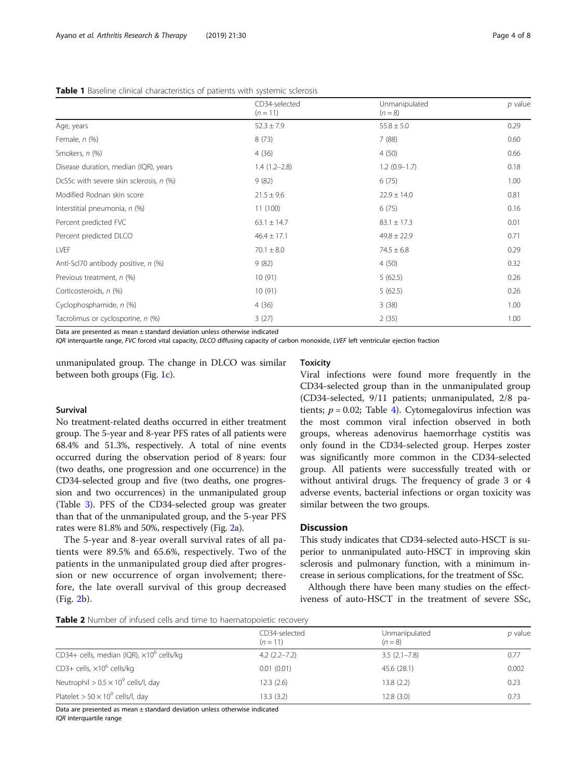|                                         | CD34-selected<br>$(n = 11)$ | Unmanipulated<br>$(n = 8)$ | $p$ value |
|-----------------------------------------|-----------------------------|----------------------------|-----------|
| Age, years                              | $52.3 \pm 7.9$              | $55.8 \pm 5.0$             | 0.29      |
| Female, $n$ $(\%)$                      | 8(73)                       | 7(88)                      | 0.60      |
| Smokers, n (%)                          | 4(36)                       | 4(50)                      | 0.66      |
| Disease duration, median (IQR), years   | $1.4(1.2-2.8)$              | $1.2(0.9-1.7)$             | 0.18      |
| DcSSc with severe skin sclerosis, n (%) | 9(82)                       | 6(75)                      | 1.00      |
| Modified Rodnan skin score              | $21.5 \pm 9.6$              | $22.9 \pm 14.0$            | 0.81      |
| Interstitial pneumonia, n (%)           | 11(100)                     | 6(75)                      | 0.16      |
| Percent predicted FVC                   | $63.1 \pm 14.7$             | $83.1 \pm 17.3$            | 0.01      |
| Percent predicted DLCO                  | $46.4 \pm 17.1$             | $49.8 \pm 22.9$            | 0.71      |
| LVEF                                    | $70.1 \pm 8.0$              | $74.5 \pm 6.8$             | 0.29      |
| Anti-Scl70 antibody positive, n (%)     | 9(82)                       | 4(50)                      | 0.32      |
| Previous treatment, n (%)               | 10(91)                      | 5(62.5)                    | 0.26      |
| Corticosteroids, n (%)                  | 10(91)                      | 5(62.5)                    | 0.26      |
| Cyclophosphamide, n (%)                 | 4(36)                       | 3(38)                      | 1.00      |
| Tacrolimus or cyclosporine, n (%)       | 3(27)                       | 2(35)                      | 1.00      |

# <span id="page-3-0"></span>Table 1 Baseline clinical characteristics of patients with systemic sclerosis

Data are presented as mean ± standard deviation unless otherwise indicated

IQR interquartile range, FVC forced vital capacity, DLCO diffusing capacity of carbon monoxide, LVEF left ventricular ejection fraction

unmanipulated group. The change in DLCO was similar between both groups (Fig. [1](#page-4-0)c).

#### Survival

No treatment-related deaths occurred in either treatment group. The 5-year and 8-year PFS rates of all patients were 68.4% and 51.3%, respectively. A total of nine events occurred during the observation period of 8 years: four (two deaths, one progression and one occurrence) in the CD34-selected group and five (two deaths, one progression and two occurrences) in the unmanipulated group (Table [3](#page-4-0)). PFS of the CD34-selected group was greater than that of the unmanipulated group, and the 5-year PFS rates were 81.8% and 50%, respectively (Fig. [2](#page-4-0)a).

The 5-year and 8-year overall survival rates of all patients were 89.5% and 65.6%, respectively. Two of the patients in the unmanipulated group died after progression or new occurrence of organ involvement; therefore, the late overall survival of this group decreased (Fig. [2b](#page-4-0)).

#### **Toxicity**

Viral infections were found more frequently in the CD34-selected group than in the unmanipulated group (CD34-selected, 9/11 patients; unmanipulated, 2/8 patients;  $p = 0.02$ ; Table [4\)](#page-5-0). Cytomegalovirus infection was the most common viral infection observed in both groups, whereas adenovirus haemorrhage cystitis was only found in the CD34-selected group. Herpes zoster was significantly more common in the CD34-selected group. All patients were successfully treated with or without antiviral drugs. The frequency of grade 3 or 4 adverse events, bacterial infections or organ toxicity was similar between the two groups.

#### **Discussion**

This study indicates that CD34-selected auto-HSCT is superior to unmanipulated auto-HSCT in improving skin sclerosis and pulmonary function, with a minimum increase in serious complications, for the treatment of SSc.

Although there have been many studies on the effectiveness of auto-HSCT in the treatment of severe SSc,

#### Table 2 Number of infused cells and time to haematopoietic recovery

|                                                              | CD34-selected<br>$(n=11)$ | Unmanipulated<br>$(n = 8)$ | p value |
|--------------------------------------------------------------|---------------------------|----------------------------|---------|
| CD34+ cells, median (IQR), $\times$ 10 <sup>6</sup> cells/kg | $4.2(2.2 - 7.2)$          | $3.5(2.1 - 7.8)$           | 0.77    |
| CD3+ cells, $\times 10^6$ cells/kg                           | 0.01(0.01)                | 45.6(28.1)                 | 0.002   |
| Neutrophil $> 0.5 \times 10^9$ cells/l, day                  | 12.3 (2.6)                | 13.8(2.2)                  | 0.23    |
| Platelet > $50 \times 10^9$ cells/l, day                     | 13.3 (3.2)                | 12.8(3.0)                  | 0.73    |

Data are presented as mean ± standard deviation unless otherwise indicated

IQR interquartile range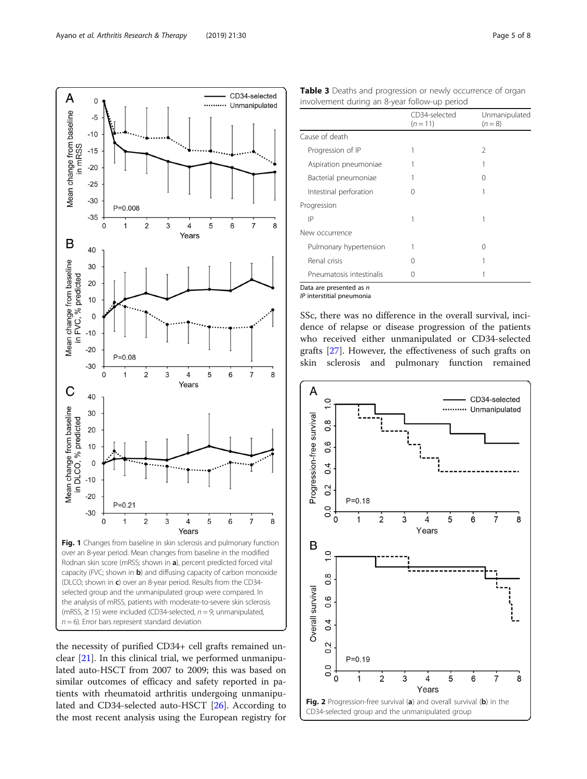<span id="page-4-0"></span>

the necessity of purified CD34+ cell grafts remained unclear [[21](#page-7-0)]. In this clinical trial, we performed unmanipulated auto-HSCT from 2007 to 2009; this was based on similar outcomes of efficacy and safety reported in patients with rheumatoid arthritis undergoing unmanipulated and CD34-selected auto-HSCT [\[26\]](#page-7-0). According to the most recent analysis using the European registry for Table 3 Deaths and progression or newly occurrence of organ involvement during an 8-year follow-up period

|                          | CD34-selected<br>$(n = 11)$ | Unmanipulated<br>$(n = 8)$ |
|--------------------------|-----------------------------|----------------------------|
| Cause of death           |                             |                            |
| Progression of IP        |                             | 2                          |
| Aspiration pneumoniae    |                             |                            |
| Bacterial pneumoniae     |                             | $^{(1)}$                   |
| Intestinal perforation   | 0                           |                            |
| Progression              |                             |                            |
| IP                       | 1                           |                            |
| New occurrence           |                             |                            |
| Pulmonary hypertension   |                             | Ω                          |
| Renal crisis             | 0                           |                            |
| Pneumatosis intestinalis | ∩                           |                            |
| Data are presented as n  |                             |                            |

IP interstitial pneumonia

SSc, there was no difference in the overall survival, incidence of relapse or disease progression of the patients who received either unmanipulated or CD34-selected grafts [\[27](#page-7-0)]. However, the effectiveness of such grafts on skin sclerosis and pulmonary function remained

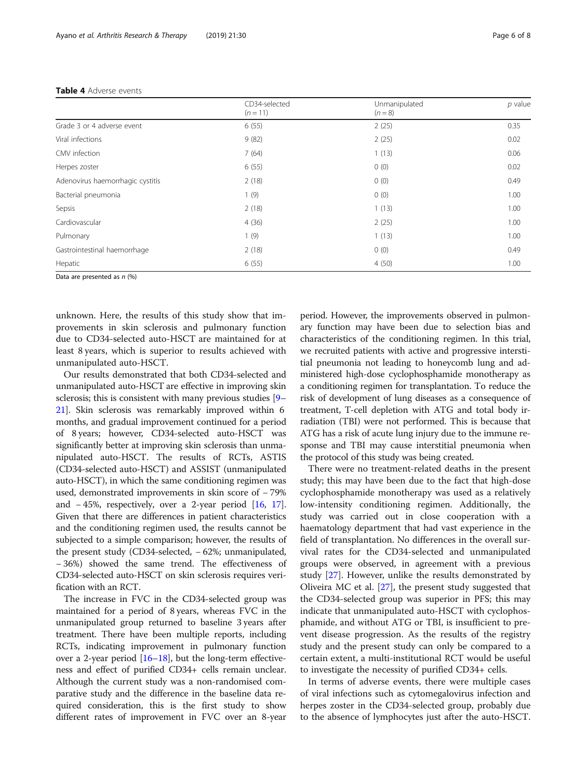#### <span id="page-5-0"></span>Table 4 Adverse events

|                                  | CD34-selected<br>$(n = 11)$ | Unmanipulated<br>$(n = 8)$ | $p$ value |
|----------------------------------|-----------------------------|----------------------------|-----------|
| Grade 3 or 4 adverse event       | 6(55)                       | 2(25)                      | 0.35      |
| Viral infections                 | 9(82)                       | 2(25)                      | 0.02      |
| CMV infection                    | 7(64)                       | 1(13)                      | 0.06      |
| Herpes zoster                    | 6(55)                       | 0(0)                       | 0.02      |
| Adenovirus haemorrhagic cystitis | 2(18)                       | 0(0)                       | 0.49      |
| Bacterial pneumonia              | 1(9)                        | 0(0)                       | 1.00      |
| Sepsis                           | 2(18)                       | 1(13)                      | 1.00      |
| Cardiovascular                   | 4(36)                       | 2(25)                      | 1.00      |
| Pulmonary                        | 1(9)                        | 1(13)                      | 1.00      |
| Gastrointestinal haemorrhage     | 2(18)                       | 0(0)                       | 0.49      |
| Hepatic                          | 6(55)                       | 4(50)                      | 1.00      |

Data are presented as  $n$  (%)

unknown. Here, the results of this study show that improvements in skin sclerosis and pulmonary function due to CD34-selected auto-HSCT are maintained for at least 8 years, which is superior to results achieved with unmanipulated auto-HSCT.

Our results demonstrated that both CD34-selected and unmanipulated auto-HSCT are effective in improving skin sclerosis; this is consistent with many previous studies [[9](#page-7-0)– [21](#page-7-0)]. Skin sclerosis was remarkably improved within 6 months, and gradual improvement continued for a period of 8 years; however, CD34-selected auto-HSCT was significantly better at improving skin sclerosis than unmanipulated auto-HSCT. The results of RCTs, ASTIS (CD34-selected auto-HSCT) and ASSIST (unmanipulated auto-HSCT), in which the same conditioning regimen was used, demonstrated improvements in skin score of − 79% and − 45%, respectively, over a 2-year period [[16](#page-7-0), [17](#page-7-0)]. Given that there are differences in patient characteristics and the conditioning regimen used, the results cannot be subjected to a simple comparison; however, the results of the present study (CD34-selected, − 62%; unmanipulated, − 36%) showed the same trend. The effectiveness of CD34-selected auto-HSCT on skin sclerosis requires verification with an RCT.

The increase in FVC in the CD34-selected group was maintained for a period of 8 years, whereas FVC in the unmanipulated group returned to baseline 3 years after treatment. There have been multiple reports, including RCTs, indicating improvement in pulmonary function over a 2-year period [[16](#page-7-0)–[18](#page-7-0)], but the long-term effectiveness and effect of purified CD34+ cells remain unclear. Although the current study was a non-randomised comparative study and the difference in the baseline data required consideration, this is the first study to show different rates of improvement in FVC over an 8-year

period. However, the improvements observed in pulmonary function may have been due to selection bias and characteristics of the conditioning regimen. In this trial, we recruited patients with active and progressive interstitial pneumonia not leading to honeycomb lung and administered high-dose cyclophosphamide monotherapy as a conditioning regimen for transplantation. To reduce the risk of development of lung diseases as a consequence of treatment, T-cell depletion with ATG and total body irradiation (TBI) were not performed. This is because that ATG has a risk of acute lung injury due to the immune response and TBI may cause interstitial pneumonia when the protocol of this study was being created.

There were no treatment-related deaths in the present study; this may have been due to the fact that high-dose cyclophosphamide monotherapy was used as a relatively low-intensity conditioning regimen. Additionally, the study was carried out in close cooperation with a haematology department that had vast experience in the field of transplantation. No differences in the overall survival rates for the CD34-selected and unmanipulated groups were observed, in agreement with a previous study [\[27](#page-7-0)]. However, unlike the results demonstrated by Oliveira MC et al. [\[27\]](#page-7-0), the present study suggested that the CD34-selected group was superior in PFS; this may indicate that unmanipulated auto-HSCT with cyclophosphamide, and without ATG or TBI, is insufficient to prevent disease progression. As the results of the registry study and the present study can only be compared to a certain extent, a multi-institutional RCT would be useful to investigate the necessity of purified CD34+ cells.

In terms of adverse events, there were multiple cases of viral infections such as cytomegalovirus infection and herpes zoster in the CD34-selected group, probably due to the absence of lymphocytes just after the auto-HSCT.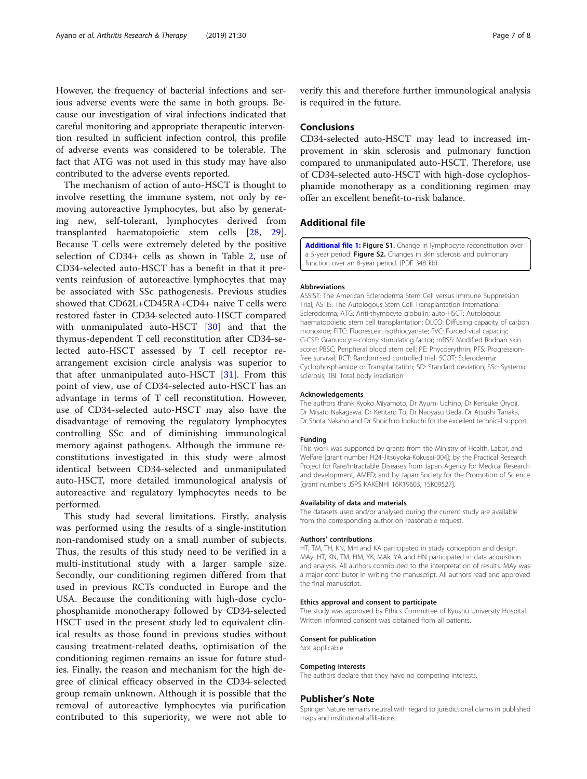<span id="page-6-0"></span>However, the frequency of bacterial infections and serious adverse events were the same in both groups. Because our investigation of viral infections indicated that careful monitoring and appropriate therapeutic intervention resulted in sufficient infection control, this profile of adverse events was considered to be tolerable. The fact that ATG was not used in this study may have also contributed to the adverse events reported.

The mechanism of action of auto-HSCT is thought to involve resetting the immune system, not only by removing autoreactive lymphocytes, but also by generating new, self-tolerant, lymphocytes derived from transplanted haematopoietic stem cells [[28](#page-7-0), [29](#page-7-0)]. Because T cells were extremely deleted by the positive selection of CD34+ cells as shown in Table [2](#page-3-0), use of CD34-selected auto-HSCT has a benefit in that it prevents reinfusion of autoreactive lymphocytes that may be associated with SSc pathogenesis. Previous studies showed that CD62L+CD45RA+CD4+ naive T cells were restored faster in CD34-selected auto-HSCT compared with unmanipulated auto-HSCT [[30\]](#page-7-0) and that the thymus-dependent T cell reconstitution after CD34-selected auto-HSCT assessed by T cell receptor rearrangement excision circle analysis was superior to that after unmanipulated auto-HSCT [\[31](#page-7-0)]. From this point of view, use of CD34-selected auto-HSCT has an advantage in terms of T cell reconstitution. However, use of CD34-selected auto-HSCT may also have the disadvantage of removing the regulatory lymphocytes controlling SSc and of diminishing immunological memory against pathogens. Although the immune reconstitutions investigated in this study were almost identical between CD34-selected and unmanipulated auto-HSCT, more detailed immunological analysis of autoreactive and regulatory lymphocytes needs to be performed.

This study had several limitations. Firstly, analysis was performed using the results of a single-institution non-randomised study on a small number of subjects. Thus, the results of this study need to be verified in a multi-institutional study with a larger sample size. Secondly, our conditioning regimen differed from that used in previous RCTs conducted in Europe and the USA. Because the conditioning with high-dose cyclophosphamide monotherapy followed by CD34-selected HSCT used in the present study led to equivalent clinical results as those found in previous studies without causing treatment-related deaths, optimisation of the conditioning regimen remains an issue for future studies. Finally, the reason and mechanism for the high degree of clinical efficacy observed in the CD34-selected group remain unknown. Although it is possible that the removal of autoreactive lymphocytes via purification contributed to this superiority, we were not able to verify this and therefore further immunological analysis is required in the future.

# **Conclusions**

CD34-selected auto-HSCT may lead to increased improvement in skin sclerosis and pulmonary function compared to unmanipulated auto-HSCT. Therefore, use of CD34-selected auto-HSCT with high-dose cyclophosphamide monotherapy as a conditioning regimen may offer an excellent benefit-to-risk balance.

#### Additional file

[Additional file 1:](https://doi.org/10.1186/s13075-019-1823-0) Figure S1. Change in lymphocyte reconstitution over a 5-year period. Figure S2. Changes in skin sclerosis and pulmonary function over an 8-year period. (PDF 348 kb)

#### Abbreviations

ASSIST: The American Scleroderma Stem Cell versus Immune Suppression Trial; ASTIS: The Autologous Stem Cell Transplantation International Scleroderma; ATG: Anti-thymocyte globulin; auto-HSCT: Autologous haematopoietic stem cell transplantation; DLCO: Diffusing capacity of carbon monoxide; FITC: Fluorescein isothiocyanate; FVC: Forced vital capacity; G-CSF: Granulocyte-colony stimulating factor; mRSS: Modified Rodnan skin score; PBSC: Peripheral blood stem cell; PE: Phycoerythrin; PFS: Progressionfree survival; RCT: Randomised controlled trial; SCOT: Scleroderma: Cyclophosphamide or Transplantation; SD: Standard deviation; SSc: Systemic sclerosis; TBI: Total body irradiation

#### Acknowledgements

The authors thank Kyoko Miyamoto, Dr Ayumi Uchino, Dr Kensuke Oryoji, Dr Misato Nakagawa, Dr Kentaro To, Dr Naoyasu Ueda, Dr Atsushi Tanaka, Dr Shota Nakano and Dr Shoichiro Inokuchi for the excellent technical support.

#### Funding

This work was supported by grants from the Ministry of Health, Labor, and Welfare [grant number H24-Jitsuyoka-Kokusai-004]; by the Practical Research Project for Rare/Intractable Diseases from Japan Agency for Medical Research and development, AMED; and by Japan Society for the Promotion of Science [grant numbers JSPS KAKENHI 16K19603, 15K09527].

#### Availability of data and materials

The datasets used and/or analysed during the current study are available from the corresponding author on reasonable request.

#### Authors' contributions

HT, TM, TH, KN, MH and KA participated in study conception and design. MAy, HT, KN, TM, HM, YK, MAk, YA and HN participated in data acquisition and analysis. All authors contributed to the interpretation of results. MAy was a major contributor in writing the manuscript. All authors read and approved the final manuscript.

#### Ethics approval and consent to participate

The study was approved by Ethics Committee of Kyushu University Hospital. Written informed consent was obtained from all patients.

#### Consent for publication

Not applicable.

#### Competing interests

The authors declare that they have no competing interests.

#### Publisher's Note

Springer Nature remains neutral with regard to jurisdictional claims in published maps and institutional affiliations.